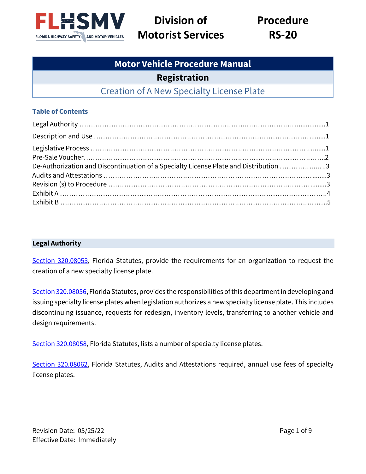

**Division of Motorist Services**

**Procedure RS-20**

# **Motor Vehicle Procedure Manual Registration** Creation of A New Specialty License Plate

## **Table of Contents**

| De-Authorization and Discontinuation of a Specialty License Plate and Distribution 3 |  |
|--------------------------------------------------------------------------------------|--|
|                                                                                      |  |
|                                                                                      |  |
|                                                                                      |  |
|                                                                                      |  |

#### **Legal Authority**

[Section 320.08053,](http://www.leg.state.fl.us/Statutes/index.cfm?App_mode=Display_Statute&URL=0300-0399/0320/Sections/0320.08053.html) Florida Statutes, provide the requirements for an organization to request the creation of a new specialty license plate.

[Section 320.08056,](http://www.leg.state.fl.us/statutes/index.cfm?mode=View%20Statutes&SubMenu=1&App_mode=Display_Statute&Search_String=320.08056&URL=0300-0399/0320/Sections/0320.08056.html) Florida Statutes, provides the responsibilities of this department in developing and issuing specialty license plates when legislation authorizes a new specialty license plate. This includes discontinuing issuance, requests for redesign, inventory levels, transferring to another vehicle and design requirements.

[Section 320.08058,](http://www.leg.state.fl.us/statutes/index.cfm?App_mode=Display_Statute&Search_String=320.08056&URL=0300-0399/0320/Sections/0320.08058.html) Florida Statutes, lists a number of specialty license plates.

[Section 320.08062,](http://www.leg.state.fl.us/statutes/index.cfm?mode=View%20Statutes&SubMenu=1&App_mode=Display_Statute&Search_String=320.08062&URL=0300-0399/0320/Sections/0320.08062.html) Florida Statutes, Audits and Attestations required, annual use fees of specialty license plates.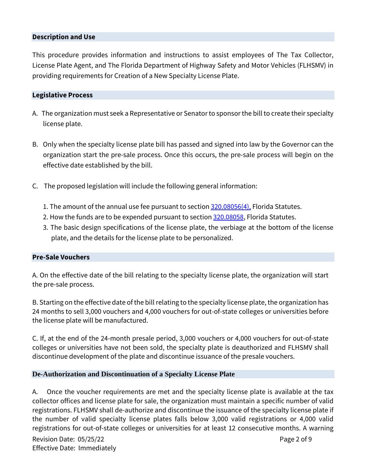#### **Description and Use**

This procedure provides information and instructions to assist employees of The Tax Collector, License Plate Agent, and The Florida Department of Highway Safety and Motor Vehicles (FLHSMV) in providing requirements for Creation of a New Specialty License Plate.

#### **Legislative Process**

- A. The organization must seek a Representative or Senator to sponsor the bill to create their specialty license plate.
- B. Only when the specialty license plate bill has passed and signed into law by the Governor can the organization start the pre-sale process. Once this occurs, the pre-sale process will begin on the effective date established by the bill.
- C. The proposed legislation will include the following general information:
	- 1. The amount of the annual use fee pursuant to section [320.08056\(4\),](http://www.leg.state.fl.us/statutes/index.cfm?mode=View%20Statutes&SubMenu=1&App_mode=Display_Statute&Search_String=320.08056&URL=0300-0399/0320/Sections/0320.08056.html) Florida Statutes.
	- 2. How the funds are to be expended pursuant to section [320.08058,](http://www.leg.state.fl.us/statutes/index.cfm?App_mode=Display_Statute&Search_String=320.08058&URL=0300-0399/0320/Sections/0320.08058.html) Florida Statutes.
	- 3. The basic design specifications of the license plate, the verbiage at the bottom of the license plate, and the details for the license plate to be personalized.

#### **Pre-Sale Vouchers**

A. On the effective date of the bill relating to the specialty license plate, the organization will start the pre-sale process.

B. Starting on the effective date of the bill relating to the specialty license plate, the organization has 24 months to sell 3,000 vouchers and 4,000 vouchers for out-of-state colleges or universities before the license plate will be manufactured.

C. If, at the end of the 24-month presale period, 3,000 vouchers or 4,000 vouchers for out-of-state colleges or universities have not been sold, the specialty plate is deauthorized and FLHSMV shall discontinue development of the plate and discontinue issuance of the presale vouchers.

#### **De-Authorization and Discontinuation of a Specialty License Plate**

A. Once the voucher requirements are met and the specialty license plate is available at the tax collector offices and license plate for sale, the organization must maintain a specific number of valid registrations. FLHSMV shall de-authorize and discontinue the issuance of the specialty license plate if the number of valid specialty license plates falls below 3,000 valid registrations or 4,000 valid registrations for out-of-state colleges or universities for at least 12 consecutive months. A warning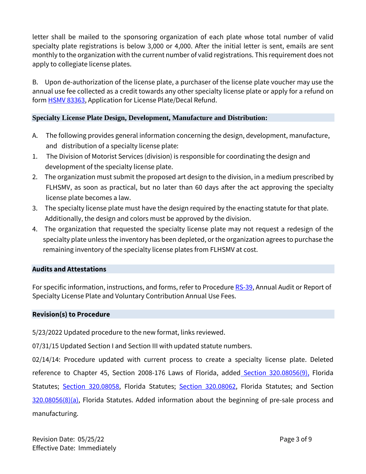letter shall be mailed to the sponsoring organization of each plate whose total number of valid specialty plate registrations is below 3,000 or 4,000. After the initial letter is sent, emails are sent monthly to the organization with the current number of valid registrations. This requirement does not apply to collegiate license plates.

B. Upon de-authorization of the license plate, a purchaser of the license plate voucher may use the annual use fee collected as a credit towards any other specialty license plate or apply for a refund on form **HSMV 83363**, Application for License Plate/Decal Refund.

## **Specialty License Plate Design, Development, Manufacture and Distribution:**

- A. The following provides general information concerning the design, development, manufacture, and distribution of a specialty license plate:
- 1. The Division of Motorist Services (division) is responsible for coordinating the design and development of the specialty license plate.
- 2. The organization must submit the proposed art design to the division, in a medium prescribed by FLHSMV, as soon as practical, but no later than 60 days after the act approving the specialty license plate becomes a law.
- 3. The specialty license plate must have the design required by the enacting statute for that plate. Additionally, the design and colors must be approved by the division.
- 4. The organization that requested the specialty license plate may not request a redesign of the specialty plate unless the inventory has been depleted, or the organization agrees to purchase the remaining inventory of the specialty license plates from FLHSMV at cost.

#### **Audits and Attestations**

For specific information, instructions, and forms, refer to Procedur[e RS-39,](https://www.flhsmv.gov/pdf/proc/rs/rs-39.pdf) Annual Audit or Report of Specialty License Plate and Voluntary Contribution Annual Use Fees.

#### **Revision(s) to Procedure**

5/23/2022 Updated procedure to the new format, links reviewed.

07/31/15 Updated Section I and Section III with updated statute numbers.

02/14/14: Procedure updated with current process to create a specialty license plate. Deleted reference to Chapter 45, Section 2008-176 Laws of Florida, added [Section 320.08056\(9\),](http://www.leg.state.fl.us/statutes/index.cfm?App_mode=Display_Statute&Search_String=320.08056&URL=0300-0399/0320/Sections/0320.08056.html) Florida Statutes; [Section 320.08058,](http://www.leg.state.fl.us/statutes/index.cfm?App_mode=Display_Statute&Search_String=320.08058&URL=0300-0399/0320/Sections/0320.08058.html) Florida Statutes; [Section 320.08062,](http://www.leg.state.fl.us/statutes/index.cfm?mode=View%20Statutes&SubMenu=1&App_mode=Display_Statute&Search_String=320.08062&URL=0300-0399/0320/Sections/0320.08062.html) Florida Statutes; and Section [320.08056\(8\)\(a\),](http://www.leg.state.fl.us/statutes/index.cfm?App_mode=Display_Statute&Search_String=320.08056&URL=0300-0399/0320/Sections/0320.08056.html) Florida Statutes. Added information about the beginning of pre-sale process and manufacturing.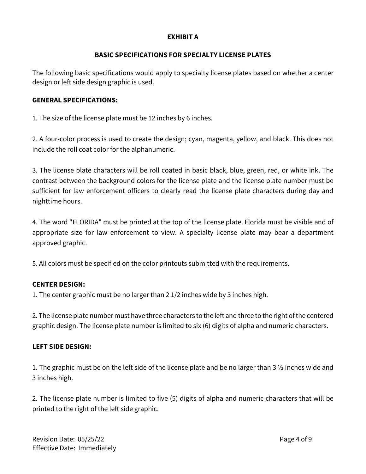#### **EXHIBIT A**

#### **BASIC SPECIFICATIONS FOR SPECIALTY LICENSE PLATES**

The following basic specifications would apply to specialty license plates based on whether a center design or left side design graphic is used.

#### **GENERAL SPECIFICATIONS:**

1. The size of the license plate must be 12 inches by 6 inches.

2. A four-color process is used to create the design; cyan, magenta, yellow, and black. This does not include the roll coat color for the alphanumeric.

3. The license plate characters will be roll coated in basic black, blue, green, red, or white ink. The contrast between the background colors for the license plate and the license plate number must be sufficient for law enforcement officers to clearly read the license plate characters during day and nighttime hours.

4. The word "FLORIDA" must be printed at the top of the license plate. Florida must be visible and of appropriate size for law enforcement to view. A specialty license plate may bear a department approved graphic.

5. All colors must be specified on the color printouts submitted with the requirements.

## **CENTER DESIGN:**

1. The center graphic must be no larger than 2 1/2 inches wide by 3 inches high.

2. The license plate number must have three characters to the left and three to the right of the centered graphic design. The license plate number is limited to six (6) digits of alpha and numeric characters.

#### **LEFT SIDE DESIGN:**

1. The graphic must be on the left side of the license plate and be no larger than 3 ½ inches wide and 3 inches high.

2. The license plate number is limited to five (5) digits of alpha and numeric characters that will be printed to the right of the left side graphic.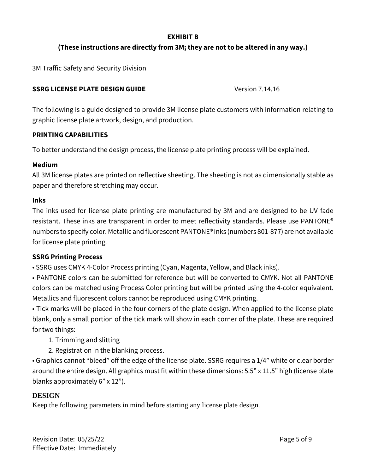#### **EXHIBIT B**

## **(These instructions are directly from 3M; they are not to be altered in any way.)**

3M Traffic Safety and Security Division

## **SSRG LICENSE PLATE DESIGN GUIDE** Version 7.14.16

The following is a guide designed to provide 3M license plate customers with information relating to graphic license plate artwork, design, and production.

#### **PRINTING CAPABILITIES**

To better understand the design process, the license plate printing process will be explained.

#### **Medium**

All 3M license plates are printed on reflective sheeting. The sheeting is not as dimensionally stable as paper and therefore stretching may occur.

#### **Inks**

The inks used for license plate printing are manufactured by 3M and are designed to be UV fade resistant. These inks are transparent in order to meet reflectivity standards. Please use PANTONE® numbers to specify color. Metallic and fluorescent PANTONE® inks (numbers 801-877) are not available for license plate printing.

#### **SSRG Printing Process**

• SSRG uses CMYK 4-Color Process printing (Cyan, Magenta, Yellow, and Black inks).

• PANTONE colors can be submitted for reference but will be converted to CMYK. Not all PANTONE colors can be matched using Process Color printing but will be printed using the 4-color equivalent. Metallics and fluorescent colors cannot be reproduced using CMYK printing.

• Tick marks will be placed in the four corners of the plate design. When applied to the license plate blank, only a small portion of the tick mark will show in each corner of the plate. These are required for two things:

- 1. Trimming and slitting
- 2. Registration in the blanking process.

• Graphics cannot "bleed" off the edge of the license plate. SSRG requires a 1/4" white or clear border around the entire design. All graphics must fit within these dimensions: 5.5" x 11.5" high (license plate blanks approximately 6" x 12").

#### **DESIGN**

Keep the following parameters in mind before starting any license plate design.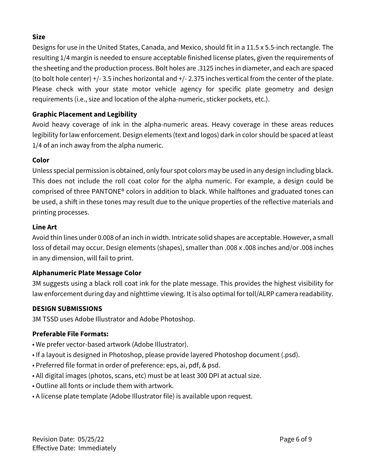## **Size**

Designs for use in the United States, Canada, and Mexico, should fit in a 11.5 x 5.5-inch rectangle. The resulting 1/4 margin is needed to ensure acceptable finished license plates, given the requirements of the sheeting and the production process. Bolt holes are .3125 inches in diameter, and each are spaced (to bolt hole center) +/- 3.5 inches horizontal and +/- 2.375 inches vertical from the center of the plate. Please check with your state motor vehicle agency for specific plate geometry and design requirements (i.e., size and location of the alpha-numeric, sticker pockets, etc.).

# **Graphic Placement and Legibility**

Avoid heavy coverage of ink in the alpha-numeric areas. Heavy coverage in these areas reduces legibility for law enforcement. Design elements (text and logos) dark in color should be spaced at least 1/4 of an inch away from the alpha numeric.

## **Color**

Unless special permission is obtained, only four spot colors may be used in any design including black. This does not include the roll coat color for the alpha numeric. For example, a design could be comprised of three PANTONE® colors in addition to black. While halftones and graduated tones can be used, a shift in these tones may result due to the unique properties of the reflective materials and printing processes.

## **Line Art**

Avoid thin lines under 0.008 of an inch in width. Intricate solid shapes are acceptable. However, a small loss of detail may occur. Design elements (shapes), smaller than .008 x .008 inches and/or .008 inches in any dimension, will fail to print.

# **Alphanumeric Plate Message Color**

3M suggests using a black roll coat ink for the plate message. This provides the highest visibility for law enforcement during day and nighttime viewing. It is also optimal for toll/ALRP camera readability.

## **DESIGN SUBMISSIONS**

3M TSSD uses Adobe Illustrator and Adobe Photoshop.

## **Preferable File Formats:**

- We prefer vector-based artwork (Adobe Illustrator).
- If a layout is designed in Photoshop, please provide layered Photoshop document (.psd).
- Preferred file format in order of preference: eps, ai, pdf, & psd.
- All digital images (photos, scans, etc) must be at least 300 DPI at actual size.
- Outline all fonts or include them with artwork.
- A license plate template (Adobe Illustrator file) is available upon request.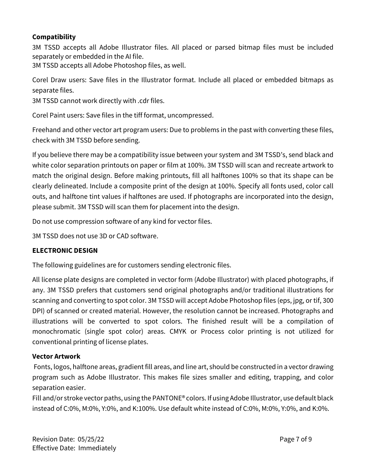## **Compatibility**

3M TSSD accepts all Adobe Illustrator files. All placed or parsed bitmap files must be included separately or embedded in the AI file.

3M TSSD accepts all Adobe Photoshop files, as well.

Corel Draw users: Save files in the Illustrator format. Include all placed or embedded bitmaps as separate files.

3M TSSD cannot work directly with .cdr files.

Corel Paint users: Save files in the tiff format, uncompressed.

Freehand and other vector art program users: Due to problems in the past with converting these files, check with 3M TSSD before sending.

If you believe there may be a compatibility issue between your system and 3M TSSD's, send black and white color separation printouts on paper or film at 100%. 3M TSSD will scan and recreate artwork to match the original design. Before making printouts, fill all halftones 100% so that its shape can be clearly delineated. Include a composite print of the design at 100%. Specify all fonts used, color call outs, and halftone tint values if halftones are used. If photographs are incorporated into the design, please submit. 3M TSSD will scan them for placement into the design.

Do not use compression software of any kind for vector files.

3M TSSD does not use 3D or CAD software.

## **ELECTRONIC DESIGN**

The following guidelines are for customers sending electronic files.

All license plate designs are completed in vector form (Adobe Illustrator) with placed photographs, if any. 3M TSSD prefers that customers send original photographs and/or traditional illustrations for scanning and converting to spot color. 3M TSSD will accept Adobe Photoshop files (eps, jpg, or tif, 300 DPI) of scanned or created material. However, the resolution cannot be increased. Photographs and illustrations will be converted to spot colors. The finished result will be a compilation of monochromatic (single spot color) areas. CMYK or Process color printing is not utilized for conventional printing of license plates.

#### **Vector Artwork**

Fonts, logos, halftone areas, gradient fill areas, and line art, should be constructed in a vector drawing program such as Adobe Illustrator. This makes file sizes smaller and editing, trapping, and color separation easier.

Fill and/or stroke vector paths, using the PANTONE® colors. If using Adobe Illustrator, use default black instead of C:0%, M:0%, Y:0%, and K:100%. Use default white instead of C:0%, M:0%, Y:0%, and K:0%.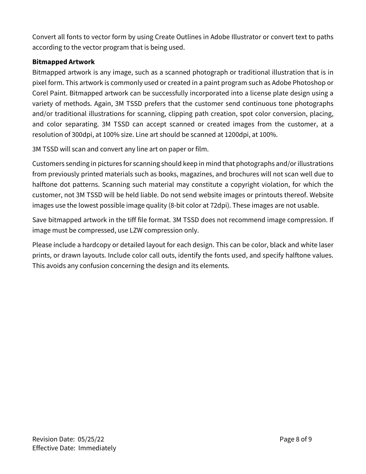Convert all fonts to vector form by using Create Outlines in Adobe Illustrator or convert text to paths according to the vector program that is being used.

## **Bitmapped Artwork**

Bitmapped artwork is any image, such as a scanned photograph or traditional illustration that is in pixel form. This artwork is commonly used or created in a paint program such as Adobe Photoshop or Corel Paint. Bitmapped artwork can be successfully incorporated into a license plate design using a variety of methods. Again, 3M TSSD prefers that the customer send continuous tone photographs and/or traditional illustrations for scanning, clipping path creation, spot color conversion, placing, and color separating. 3M TSSD can accept scanned or created images from the customer, at a resolution of 300dpi, at 100% size. Line art should be scanned at 1200dpi, at 100%.

3M TSSD will scan and convert any line art on paper or film.

Customers sending in pictures for scanning should keep in mind that photographs and/or illustrations from previously printed materials such as books, magazines, and brochures will not scan well due to halftone dot patterns. Scanning such material may constitute a copyright violation, for which the customer, not 3M TSSD will be held liable. Do not send website images or printouts thereof. Website images use the lowest possible image quality (8-bit color at 72dpi). These images are not usable.

Save bitmapped artwork in the tiff file format. 3M TSSD does not recommend image compression. If image must be compressed, use LZW compression only.

Please include a hardcopy or detailed layout for each design. This can be color, black and white laser prints, or drawn layouts. Include color call outs, identify the fonts used, and specify halftone values. This avoids any confusion concerning the design and its elements.